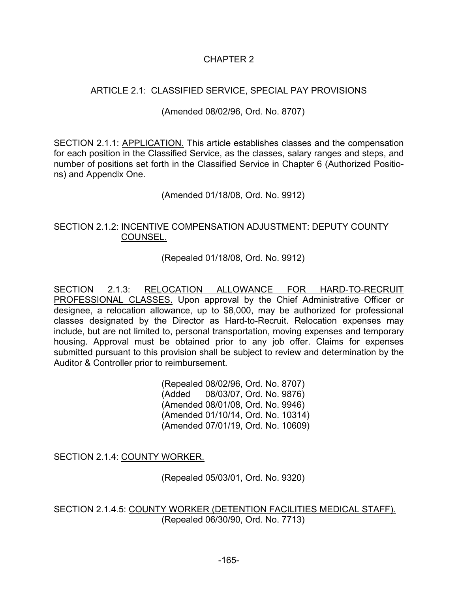# CHAPTER 2

# ARTICLE 2.1: CLASSIFIED SERVICE, SPECIAL PAY PROVISIONS

### (Amended 08/02/96, Ord. No. 8707)

SECTION 2.1.1: APPLICATION. This article establishes classes and the compensation for each position in the Classified Service, as the classes, salary ranges and steps, and number of positions set forth in the Classified Service in Chapter 6 (Authorized Positions) and Appendix One.

(Amended 01/18/08, Ord. No. 9912)

### SECTION 2.1.2: INCENTIVE COMPENSATION ADJUSTMENT: DEPUTY COUNTY COUNSEL.

(Repealed 01/18/08, Ord. No. 9912)

SECTION 2.1.3: RELOCATION ALLOWANCE FOR HARD-TO-RECRUIT PROFESSIONAL CLASSES. Upon approval by the Chief Administrative Officer or designee, a relocation allowance, up to \$8,000, may be authorized for professional classes designated by the Director as Hard-to-Recruit. Relocation expenses may include, but are not limited to, personal transportation, moving expenses and temporary housing. Approval must be obtained prior to any job offer. Claims for expenses submitted pursuant to this provision shall be subject to review and determination by the Auditor & Controller prior to reimbursement.

> (Repealed 08/02/96, Ord. No. 8707) (Added 08/03/07, Ord. No. 9876) (Amended 08/01/08, Ord. No. 9946) (Amended 01/10/14, Ord. No. 10314) (Amended 07/01/19, Ord. No. 10609)

SECTION 2.1.4: COUNTY WORKER.

(Repealed 05/03/01, Ord. No. 9320)

SECTION 2.1.4.5: COUNTY WORKER (DETENTION FACILITIES MEDICAL STAFF). (Repealed 06/30/90, Ord. No. 7713)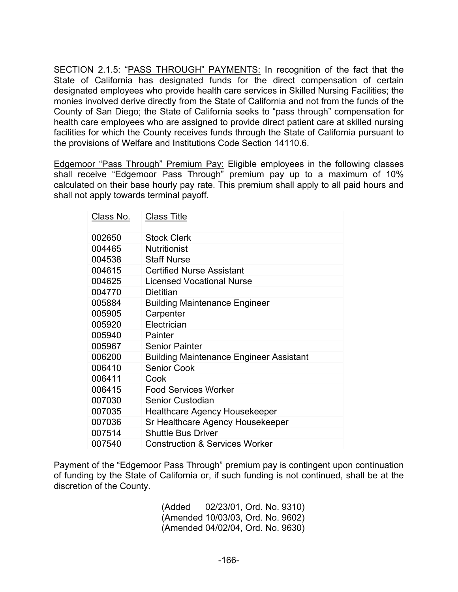SECTION 2.1.5: "PASS THROUGH" PAYMENTS: In recognition of the fact that the State of California has designated funds for the direct compensation of certain designated employees who provide health care services in Skilled Nursing Facilities; the monies involved derive directly from the State of California and not from the funds of the County of San Diego; the State of California seeks to "pass through" compensation for health care employees who are assigned to provide direct patient care at skilled nursing facilities for which the County receives funds through the State of California pursuant to the provisions of Welfare and Institutions Code Section 14110.6.

Edgemoor "Pass Through" Premium Pay: Eligible employees in the following classes shall receive "Edgemoor Pass Through" premium pay up to a maximum of 10% calculated on their base hourly pay rate. This premium shall apply to all paid hours and shall not apply towards terminal payoff.

| Class No. | <b>Class Title</b>                             |
|-----------|------------------------------------------------|
| 002650    | <b>Stock Clerk</b>                             |
| 004465    | <b>Nutritionist</b>                            |
| 004538    | <b>Staff Nurse</b>                             |
| 004615    | <b>Certified Nurse Assistant</b>               |
| 004625    | <b>Licensed Vocational Nurse</b>               |
| 004770    | Dietitian                                      |
| 005884    | <b>Building Maintenance Engineer</b>           |
| 005905    | Carpenter                                      |
| 005920    | Electrician                                    |
| 005940    | Painter                                        |
| 005967    | <b>Senior Painter</b>                          |
| 006200    | <b>Building Maintenance Engineer Assistant</b> |
| 006410    | <b>Senior Cook</b>                             |
| 006411    | Cook                                           |
| 006415    | <b>Food Services Worker</b>                    |
| 007030    | Senior Custodian                               |
| 007035    | <b>Healthcare Agency Housekeeper</b>           |
| 007036    | Sr Healthcare Agency Housekeeper               |
| 007514    | <b>Shuttle Bus Driver</b>                      |
| 007540    | <b>Construction &amp; Services Worker</b>      |

Payment of the "Edgemoor Pass Through" premium pay is contingent upon continuation of funding by the State of California or, if such funding is not continued, shall be at the discretion of the County.

> (Added 02/23/01, Ord. No. 9310) (Amended 10/03/03, Ord. No. 9602) (Amended 04/02/04, Ord. No. 9630)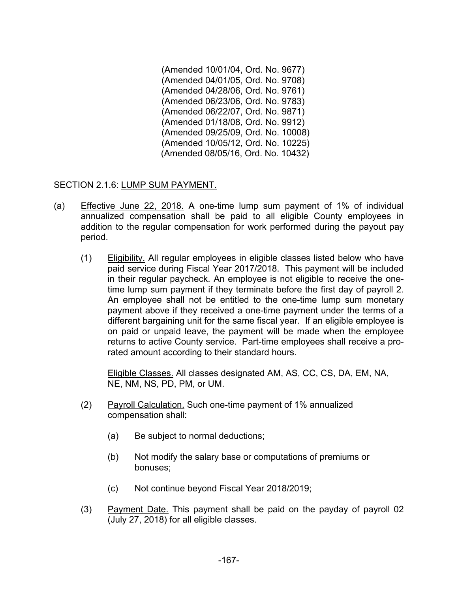(Amended 10/01/04, Ord. No. 9677) (Amended 04/01/05, Ord. No. 9708) (Amended 04/28/06, Ord. No. 9761) (Amended 06/23/06, Ord. No. 9783) (Amended 06/22/07, Ord. No. 9871) (Amended 01/18/08, Ord. No. 9912) (Amended 09/25/09, Ord. No. 10008) (Amended 10/05/12, Ord. No. 10225) (Amended 08/05/16, Ord. No. 10432)

SECTION 2.1.6: LUMP SUM PAYMENT.

- (a) Effective June 22, 2018. A one-time lump sum payment of 1% of individual annualized compensation shall be paid to all eligible County employees in addition to the regular compensation for work performed during the payout pay period.
	- (1) Eligibility. All regular employees in eligible classes listed below who have paid service during Fiscal Year 2017/2018. This payment will be included in their regular paycheck. An employee is not eligible to receive the onetime lump sum payment if they terminate before the first day of payroll 2. An employee shall not be entitled to the one-time lump sum monetary payment above if they received a one-time payment under the terms of a different bargaining unit for the same fiscal year. If an eligible employee is on paid or unpaid leave, the payment will be made when the employee returns to active County service. Part-time employees shall receive a prorated amount according to their standard hours.

Eligible Classes. All classes designated AM, AS, CC, CS, DA, EM, NA, NE, NM, NS, PD, PM, or UM.

- (2) Payroll Calculation. Such one-time payment of 1% annualized compensation shall:
	- (a) Be subject to normal deductions;
	- (b) Not modify the salary base or computations of premiums or bonuses;
	- (c) Not continue beyond Fiscal Year 2018/2019;
- (3) Payment Date. This payment shall be paid on the payday of payroll 02 (July 27, 2018) for all eligible classes.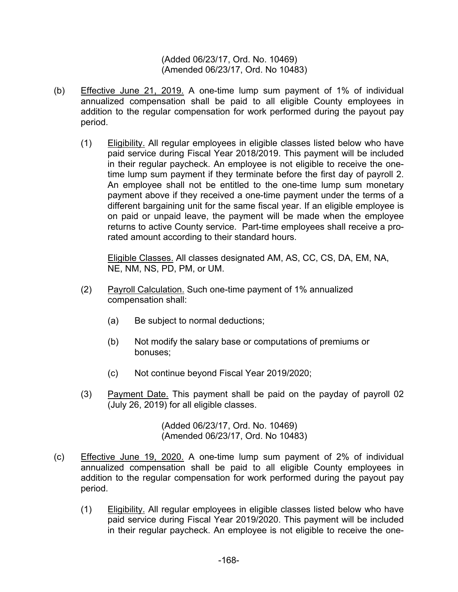(Added 06/23/17, Ord. No. 10469) (Amended 06/23/17, Ord. No 10483)

- (b) Effective June 21, 2019. A one-time lump sum payment of 1% of individual annualized compensation shall be paid to all eligible County employees in addition to the regular compensation for work performed during the payout pay period.
	- (1) Eligibility. All regular employees in eligible classes listed below who have paid service during Fiscal Year 2018/2019. This payment will be included in their regular paycheck. An employee is not eligible to receive the onetime lump sum payment if they terminate before the first day of payroll 2. An employee shall not be entitled to the one-time lump sum monetary payment above if they received a one-time payment under the terms of a different bargaining unit for the same fiscal year. If an eligible employee is on paid or unpaid leave, the payment will be made when the employee returns to active County service. Part-time employees shall receive a prorated amount according to their standard hours.

Eligible Classes. All classes designated AM, AS, CC, CS, DA, EM, NA, NE, NM, NS, PD, PM, or UM.

- (2) Payroll Calculation. Such one-time payment of 1% annualized compensation shall:
	- (a) Be subject to normal deductions;
	- (b) Not modify the salary base or computations of premiums or bonuses;
	- (c) Not continue beyond Fiscal Year 2019/2020;
- (3) Payment Date. This payment shall be paid on the payday of payroll 02 (July 26, 2019) for all eligible classes.

(Added 06/23/17, Ord. No. 10469) (Amended 06/23/17, Ord. No 10483)

- (c) Effective June 19, 2020. A one-time lump sum payment of 2% of individual annualized compensation shall be paid to all eligible County employees in addition to the regular compensation for work performed during the payout pay period.
	- (1) Eligibility. All regular employees in eligible classes listed below who have paid service during Fiscal Year 2019/2020. This payment will be included in their regular paycheck. An employee is not eligible to receive the one-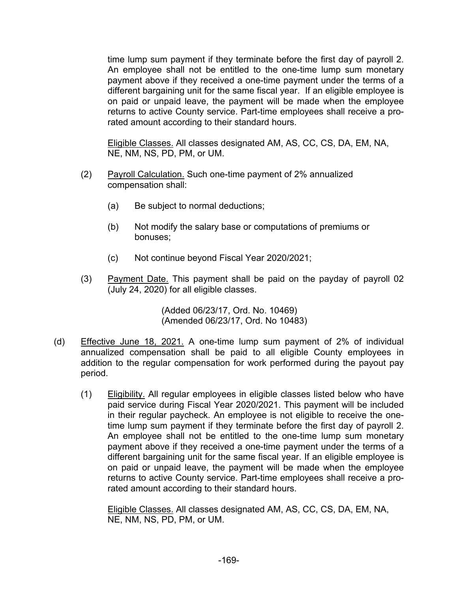time lump sum payment if they terminate before the first day of payroll 2. An employee shall not be entitled to the one-time lump sum monetary payment above if they received a one-time payment under the terms of a different bargaining unit for the same fiscal year. If an eligible employee is on paid or unpaid leave, the payment will be made when the employee returns to active County service. Part-time employees shall receive a prorated amount according to their standard hours.

Eligible Classes. All classes designated AM, AS, CC, CS, DA, EM, NA, NE, NM, NS, PD, PM, or UM.

- (2) Payroll Calculation. Such one-time payment of 2% annualized compensation shall:
	- (a) Be subject to normal deductions;
	- (b) Not modify the salary base or computations of premiums or bonuses;
	- (c) Not continue beyond Fiscal Year 2020/2021;
- (3) Payment Date. This payment shall be paid on the payday of payroll 02 (July 24, 2020) for all eligible classes.

(Added 06/23/17, Ord. No. 10469) (Amended 06/23/17, Ord. No 10483)

- (d) Effective June 18, 2021. A one-time lump sum payment of 2% of individual annualized compensation shall be paid to all eligible County employees in addition to the regular compensation for work performed during the payout pay period.
	- (1) Eligibility. All regular employees in eligible classes listed below who have paid service during Fiscal Year 2020/2021. This payment will be included in their regular paycheck. An employee is not eligible to receive the onetime lump sum payment if they terminate before the first day of payroll 2. An employee shall not be entitled to the one-time lump sum monetary payment above if they received a one-time payment under the terms of a different bargaining unit for the same fiscal year. If an eligible employee is on paid or unpaid leave, the payment will be made when the employee returns to active County service. Part-time employees shall receive a prorated amount according to their standard hours.

Eligible Classes. All classes designated AM, AS, CC, CS, DA, EM, NA, NE, NM, NS, PD, PM, or UM.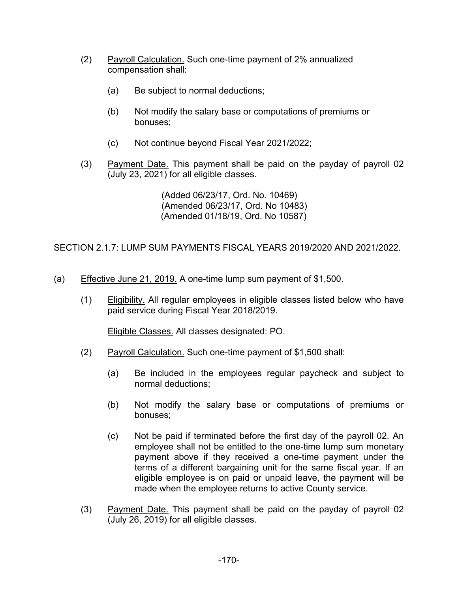- (2) Payroll Calculation. Such one-time payment of 2% annualized compensation shall:
	- (a) Be subject to normal deductions;
	- (b) Not modify the salary base or computations of premiums or bonuses;
	- (c) Not continue beyond Fiscal Year 2021/2022;
- (3) Payment Date. This payment shall be paid on the payday of payroll 02 (July 23, 2021) for all eligible classes.

(Added 06/23/17, Ord. No. 10469) (Amended 06/23/17, Ord. No 10483) (Amended 01/18/19, Ord. No 10587)

## SECTION 2.1.7: LUMP SUM PAYMENTS FISCAL YEARS 2019/2020 AND 2021/2022.

- (a) Effective June 21, 2019. A one-time lump sum payment of \$1,500.
	- (1) Eligibility. All regular employees in eligible classes listed below who have paid service during Fiscal Year 2018/2019.

Eligible Classes. All classes designated: PO.

- (2) Payroll Calculation. Such one-time payment of \$1,500 shall:
	- (a) Be included in the employees regular paycheck and subject to normal deductions;
	- (b) Not modify the salary base or computations of premiums or bonuses;
	- (c) Not be paid if terminated before the first day of the payroll 02. An employee shall not be entitled to the one-time lump sum monetary payment above if they received a one-time payment under the terms of a different bargaining unit for the same fiscal year. If an eligible employee is on paid or unpaid leave, the payment will be made when the employee returns to active County service.
- (3) Payment Date. This payment shall be paid on the payday of payroll 02 (July 26, 2019) for all eligible classes.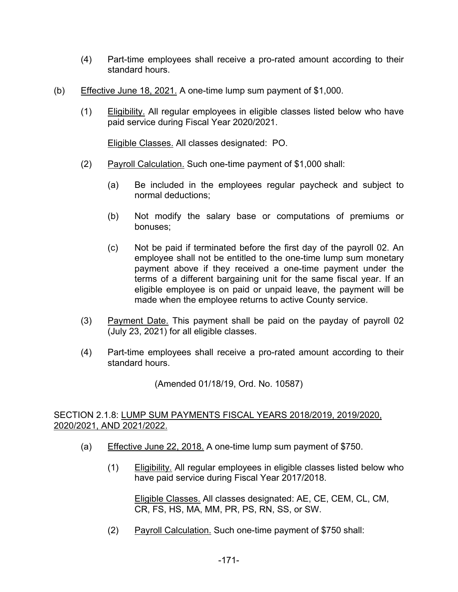- (4) Part-time employees shall receive a pro-rated amount according to their standard hours.
- (b) Effective June 18, 2021. A one-time lump sum payment of \$1,000.
	- (1) Eligibility. All regular employees in eligible classes listed below who have paid service during Fiscal Year 2020/2021.

Eligible Classes. All classes designated: PO.

- (2) Payroll Calculation. Such one-time payment of \$1,000 shall:
	- (a) Be included in the employees regular paycheck and subject to normal deductions;
	- (b) Not modify the salary base or computations of premiums or bonuses;
	- (c) Not be paid if terminated before the first day of the payroll 02. An employee shall not be entitled to the one-time lump sum monetary payment above if they received a one-time payment under the terms of a different bargaining unit for the same fiscal year. If an eligible employee is on paid or unpaid leave, the payment will be made when the employee returns to active County service.
- (3) Payment Date. This payment shall be paid on the payday of payroll 02 (July 23, 2021) for all eligible classes.
- (4) Part-time employees shall receive a pro-rated amount according to their standard hours.

(Amended 01/18/19, Ord. No. 10587)

#### SECTION 2.1.8: LUMP SUM PAYMENTS FISCAL YEARS 2018/2019, 2019/2020, 2020/2021, AND 2021/2022.

- (a) Effective June 22, 2018. A one-time lump sum payment of \$750.
	- (1) Eligibility. All regular employees in eligible classes listed below who have paid service during Fiscal Year 2017/2018.

Eligible Classes. All classes designated: AE, CE, CEM, CL, CM, CR, FS, HS, MA, MM, PR, PS, RN, SS, or SW.

(2) Payroll Calculation. Such one-time payment of \$750 shall: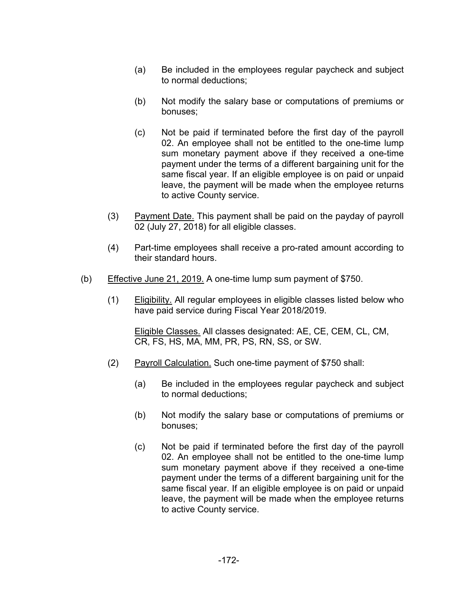- (a) Be included in the employees regular paycheck and subject to normal deductions;
- (b) Not modify the salary base or computations of premiums or bonuses;
- (c) Not be paid if terminated before the first day of the payroll 02. An employee shall not be entitled to the one-time lump sum monetary payment above if they received a one-time payment under the terms of a different bargaining unit for the same fiscal year. If an eligible employee is on paid or unpaid leave, the payment will be made when the employee returns to active County service.
- (3) Payment Date. This payment shall be paid on the payday of payroll 02 (July 27, 2018) for all eligible classes.
- (4) Part-time employees shall receive a pro-rated amount according to their standard hours.
- (b) Effective June 21, 2019. A one-time lump sum payment of \$750.
	- (1) Eligibility. All regular employees in eligible classes listed below who have paid service during Fiscal Year 2018/2019.

Eligible Classes. All classes designated: AE, CE, CEM, CL, CM, CR, FS, HS, MA, MM, PR, PS, RN, SS, or SW.

- (2) Payroll Calculation. Such one-time payment of \$750 shall:
	- (a) Be included in the employees regular paycheck and subject to normal deductions;
	- (b) Not modify the salary base or computations of premiums or bonuses;
	- (c) Not be paid if terminated before the first day of the payroll 02. An employee shall not be entitled to the one-time lump sum monetary payment above if they received a one-time payment under the terms of a different bargaining unit for the same fiscal year. If an eligible employee is on paid or unpaid leave, the payment will be made when the employee returns to active County service.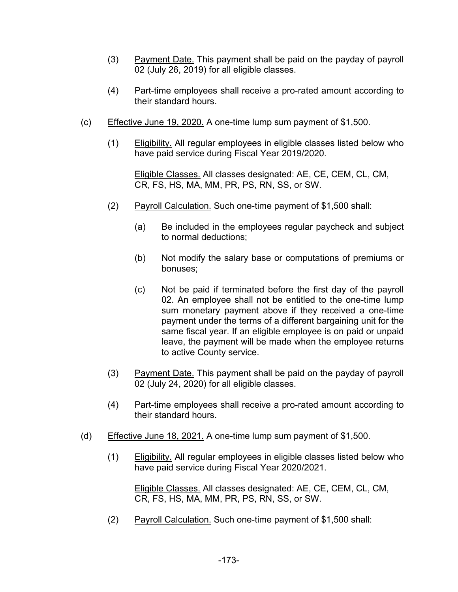- (3) Payment Date. This payment shall be paid on the payday of payroll 02 (July 26, 2019) for all eligible classes.
- (4) Part-time employees shall receive a pro-rated amount according to their standard hours.
- (c) Effective June 19, 2020. A one-time lump sum payment of \$1,500.
	- (1) Eligibility. All regular employees in eligible classes listed below who have paid service during Fiscal Year 2019/2020.

Eligible Classes. All classes designated: AE, CE, CEM, CL, CM, CR, FS, HS, MA, MM, PR, PS, RN, SS, or SW.

- (2) Payroll Calculation. Such one-time payment of \$1,500 shall:
	- (a) Be included in the employees regular paycheck and subject to normal deductions;
	- (b) Not modify the salary base or computations of premiums or bonuses;
	- (c) Not be paid if terminated before the first day of the payroll 02. An employee shall not be entitled to the one-time lump sum monetary payment above if they received a one-time payment under the terms of a different bargaining unit for the same fiscal year. If an eligible employee is on paid or unpaid leave, the payment will be made when the employee returns to active County service.
- (3) Payment Date. This payment shall be paid on the payday of payroll 02 (July 24, 2020) for all eligible classes.
- (4) Part-time employees shall receive a pro-rated amount according to their standard hours.
- (d) Effective June 18, 2021. A one-time lump sum payment of \$1,500.
	- (1) Eligibility. All regular employees in eligible classes listed below who have paid service during Fiscal Year 2020/2021.

Eligible Classes. All classes designated: AE, CE, CEM, CL, CM, CR, FS, HS, MA, MM, PR, PS, RN, SS, or SW.

(2) Payroll Calculation. Such one-time payment of \$1,500 shall: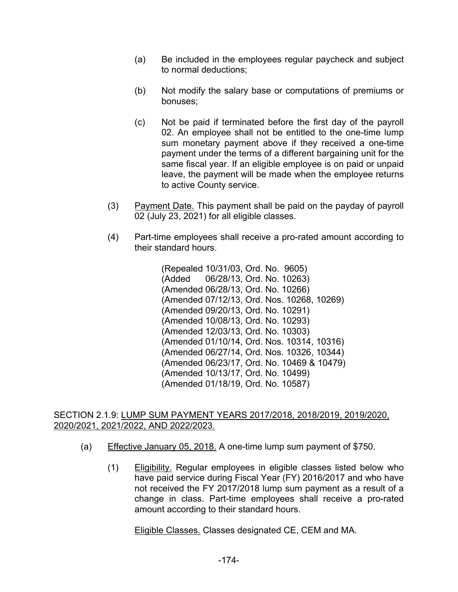- (a) Be included in the employees regular paycheck and subject to normal deductions;
- (b) Not modify the salary base or computations of premiums or bonuses;
- (c) Not be paid if terminated before the first day of the payroll 02. An employee shall not be entitled to the one-time lump sum monetary payment above if they received a one-time payment under the terms of a different bargaining unit for the same fiscal year. If an eligible employee is on paid or unpaid leave, the payment will be made when the employee returns to active County service.
- (3) Payment Date. This payment shall be paid on the payday of payroll 02 (July 23, 2021) for all eligible classes.
- (4) Part-time employees shall receive a pro-rated amount according to their standard hours.

(Repealed 10/31/03, Ord. No. 9605) (Added 06/28/13, Ord. No. 10263) (Amended 06/28/13, Ord. No. 10266) (Amended 07/12/13, Ord. Nos. 10268, 10269) (Amended 09/20/13, Ord. No. 10291) (Amended 10/08/13, Ord. No. 10293) (Amended 12/03/13, Ord. No. 10303) (Amended 01/10/14, Ord. Nos. 10314, 10316) (Amended 06/27/14, Ord. Nos. 10326, 10344) (Amended 06/23/17, Ord. No. 10469 & 10479) (Amended 10/13/17, Ord. No. 10499) (Amended 01/18/19, Ord. No. 10587)

#### SECTION 2.1.9: LUMP SUM PAYMENT YEARS 2017/2018, 2018/2019, 2019/2020, 2020/2021, 2021/2022, AND 2022/2023.

- (a) Effective January 05, 2018. A one-time lump sum payment of \$750.
	- (1) Eligibility. Regular employees in eligible classes listed below who have paid service during Fiscal Year (FY) 2016/2017 and who have not received the FY 2017/2018 lump sum payment as a result of a change in class. Part-time employees shall receive a pro-rated amount according to their standard hours.

Eligible Classes. Classes designated CE, CEM and MA.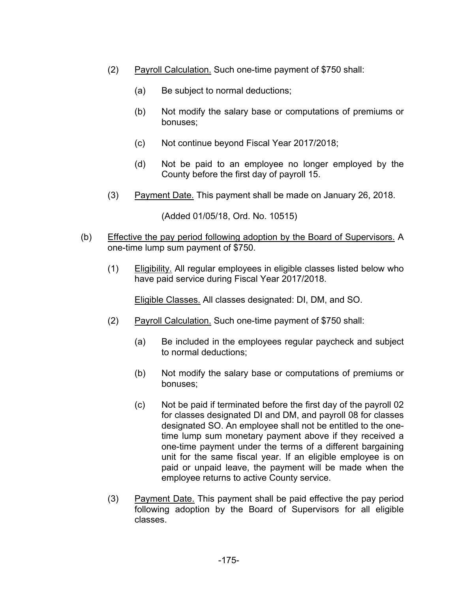- (2) Payroll Calculation. Such one-time payment of \$750 shall:
	- (a) Be subject to normal deductions;
	- (b) Not modify the salary base or computations of premiums or bonuses;
	- (c) Not continue beyond Fiscal Year 2017/2018;
	- (d) Not be paid to an employee no longer employed by the County before the first day of payroll 15.
- (3) Payment Date. This payment shall be made on January 26, 2018.

(Added 01/05/18, Ord. No. 10515)

- (b) Effective the pay period following adoption by the Board of Supervisors. A one-time lump sum payment of \$750.
	- (1) Eligibility. All regular employees in eligible classes listed below who have paid service during Fiscal Year 2017/2018.

Eligible Classes. All classes designated: DI, DM, and SO.

- (2) Payroll Calculation. Such one-time payment of \$750 shall:
	- (a) Be included in the employees regular paycheck and subject to normal deductions;
	- (b) Not modify the salary base or computations of premiums or bonuses;
	- (c) Not be paid if terminated before the first day of the payroll 02 for classes designated DI and DM, and payroll 08 for classes designated SO. An employee shall not be entitled to the onetime lump sum monetary payment above if they received a one-time payment under the terms of a different bargaining unit for the same fiscal year. If an eligible employee is on paid or unpaid leave, the payment will be made when the employee returns to active County service.
- (3) Payment Date. This payment shall be paid effective the pay period following adoption by the Board of Supervisors for all eligible classes.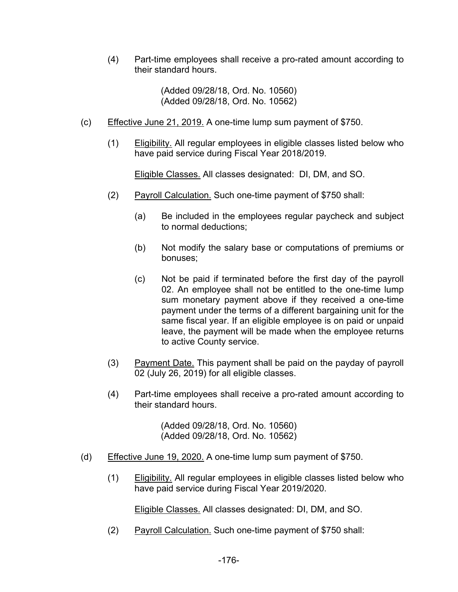(4) Part-time employees shall receive a pro-rated amount according to their standard hours.

> (Added 09/28/18, Ord. No. 10560) (Added 09/28/18, Ord. No. 10562)

- (c) Effective June 21, 2019. A one-time lump sum payment of \$750.
	- (1) Eligibility. All regular employees in eligible classes listed below who have paid service during Fiscal Year 2018/2019.

Eligible Classes. All classes designated: DI, DM, and SO.

- (2) Payroll Calculation. Such one-time payment of \$750 shall:
	- (a) Be included in the employees regular paycheck and subject to normal deductions;
	- (b) Not modify the salary base or computations of premiums or bonuses;
	- (c) Not be paid if terminated before the first day of the payroll 02. An employee shall not be entitled to the one-time lump sum monetary payment above if they received a one-time payment under the terms of a different bargaining unit for the same fiscal year. If an eligible employee is on paid or unpaid leave, the payment will be made when the employee returns to active County service.
- (3) Payment Date. This payment shall be paid on the payday of payroll 02 (July 26, 2019) for all eligible classes.
- (4) Part-time employees shall receive a pro-rated amount according to their standard hours.

(Added 09/28/18, Ord. No. 10560) (Added 09/28/18, Ord. No. 10562)

- (d) Effective June 19, 2020. A one-time lump sum payment of \$750.
	- (1) Eligibility. All regular employees in eligible classes listed below who have paid service during Fiscal Year 2019/2020.

Eligible Classes. All classes designated: DI, DM, and SO.

(2) Payroll Calculation. Such one-time payment of \$750 shall: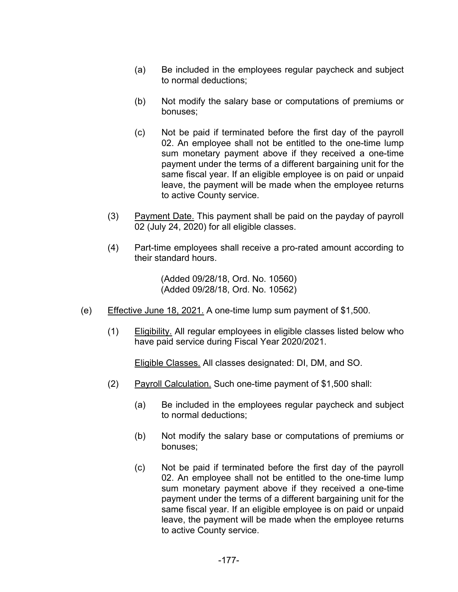- (a) Be included in the employees regular paycheck and subject to normal deductions;
- (b) Not modify the salary base or computations of premiums or bonuses;
- (c) Not be paid if terminated before the first day of the payroll 02. An employee shall not be entitled to the one-time lump sum monetary payment above if they received a one-time payment under the terms of a different bargaining unit for the same fiscal year. If an eligible employee is on paid or unpaid leave, the payment will be made when the employee returns to active County service.
- (3) Payment Date. This payment shall be paid on the payday of payroll 02 (July 24, 2020) for all eligible classes.
- (4) Part-time employees shall receive a pro-rated amount according to their standard hours.

(Added 09/28/18, Ord. No. 10560) (Added 09/28/18, Ord. No. 10562)

- (e) Effective June 18, 2021. A one-time lump sum payment of \$1,500.
	- (1) Eligibility. All regular employees in eligible classes listed below who have paid service during Fiscal Year 2020/2021.

Eligible Classes. All classes designated: DI, DM, and SO.

- (2) Payroll Calculation. Such one-time payment of \$1,500 shall:
	- (a) Be included in the employees regular paycheck and subject to normal deductions;
	- (b) Not modify the salary base or computations of premiums or bonuses;
	- (c) Not be paid if terminated before the first day of the payroll 02. An employee shall not be entitled to the one-time lump sum monetary payment above if they received a one-time payment under the terms of a different bargaining unit for the same fiscal year. If an eligible employee is on paid or unpaid leave, the payment will be made when the employee returns to active County service.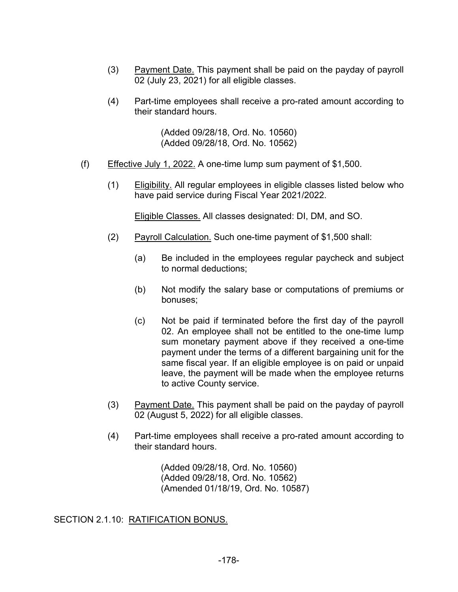- (3) Payment Date. This payment shall be paid on the payday of payroll 02 (July 23, 2021) for all eligible classes.
- (4) Part-time employees shall receive a pro-rated amount according to their standard hours.

(Added 09/28/18, Ord. No. 10560) (Added 09/28/18, Ord. No. 10562)

- (f) Effective July 1, 2022. A one-time lump sum payment of \$1,500.
	- (1) Eligibility. All regular employees in eligible classes listed below who have paid service during Fiscal Year 2021/2022.

Eligible Classes. All classes designated: DI, DM, and SO.

- (2) Payroll Calculation. Such one-time payment of \$1,500 shall:
	- (a) Be included in the employees regular paycheck and subject to normal deductions;
	- (b) Not modify the salary base or computations of premiums or bonuses;
	- (c) Not be paid if terminated before the first day of the payroll 02. An employee shall not be entitled to the one-time lump sum monetary payment above if they received a one-time payment under the terms of a different bargaining unit for the same fiscal year. If an eligible employee is on paid or unpaid leave, the payment will be made when the employee returns to active County service.
- (3) Payment Date. This payment shall be paid on the payday of payroll 02 (August 5, 2022) for all eligible classes.
- (4) Part-time employees shall receive a pro-rated amount according to their standard hours.

(Added 09/28/18, Ord. No. 10560) (Added 09/28/18, Ord. No. 10562) (Amended 01/18/19, Ord. No. 10587)

SECTION 2.1.10: RATIFICATION BONUS.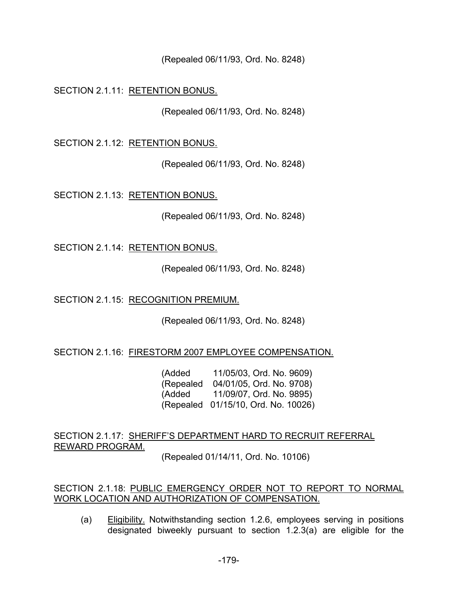(Repealed 06/11/93, Ord. No. 8248)

SECTION 2.1.11: RETENTION BONUS.

(Repealed 06/11/93, Ord. No. 8248)

SECTION 2.1.12: RETENTION BONUS.

(Repealed 06/11/93, Ord. No. 8248)

SECTION 2.1.13: RETENTION BONUS.

(Repealed 06/11/93, Ord. No. 8248)

SECTION 2.1.14: RETENTION BONUS.

(Repealed 06/11/93, Ord. No. 8248)

SECTION 2.1.15: RECOGNITION PREMIUM.

(Repealed 06/11/93, Ord. No. 8248)

SECTION 2.1.16: FIRESTORM 2007 EMPLOYEE COMPENSATION.

(Added 11/05/03, Ord. No. 9609) (Repealed 04/01/05, Ord. No. 9708) (Added 11/09/07, Ord. No. 9895) (Repealed 01/15/10, Ord. No. 10026)

SECTION 2.1.17: SHERIFF'S DEPARTMENT HARD TO RECRUIT REFERRAL REWARD PROGRAM.

(Repealed 01/14/11, Ord. No. 10106)

SECTION 2.1.18: PUBLIC EMERGENCY ORDER NOT TO REPORT TO NORMAL WORK LOCATION AND AUTHORIZATION OF COMPENSATION.

(a) Eligibility. Notwithstanding section 1.2.6, employees serving in positions designated biweekly pursuant to section 1.2.3(a) are eligible for the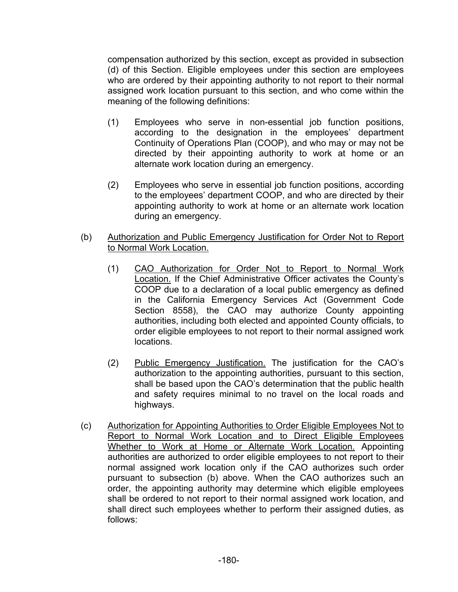compensation authorized by this section, except as provided in subsection (d) of this Section. Eligible employees under this section are employees who are ordered by their appointing authority to not report to their normal assigned work location pursuant to this section, and who come within the meaning of the following definitions:

- (1) Employees who serve in non-essential job function positions, according to the designation in the employees' department Continuity of Operations Plan (COOP), and who may or may not be directed by their appointing authority to work at home or an alternate work location during an emergency.
- (2) Employees who serve in essential job function positions, according to the employees' department COOP, and who are directed by their appointing authority to work at home or an alternate work location during an emergency.
- (b) Authorization and Public Emergency Justification for Order Not to Report to Normal Work Location.
	- (1) CAO Authorization for Order Not to Report to Normal Work Location. If the Chief Administrative Officer activates the County's COOP due to a declaration of a local public emergency as defined in the California Emergency Services Act (Government Code Section 8558), the CAO may authorize County appointing authorities, including both elected and appointed County officials, to order eligible employees to not report to their normal assigned work locations.
	- (2) Public Emergency Justification. The justification for the CAO's authorization to the appointing authorities, pursuant to this section, shall be based upon the CAO's determination that the public health and safety requires minimal to no travel on the local roads and highways.
- (c) Authorization for Appointing Authorities to Order Eligible Employees Not to Report to Normal Work Location and to Direct Eligible Employees Whether to Work at Home or Alternate Work Location. Appointing authorities are authorized to order eligible employees to not report to their normal assigned work location only if the CAO authorizes such order pursuant to subsection (b) above. When the CAO authorizes such an order, the appointing authority may determine which eligible employees shall be ordered to not report to their normal assigned work location, and shall direct such employees whether to perform their assigned duties, as follows: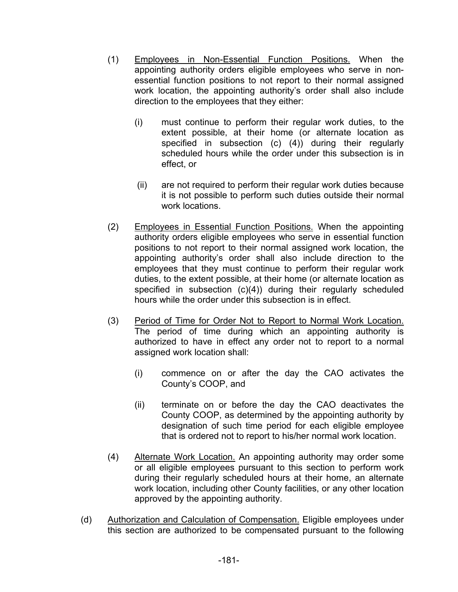- (1) Employees in Non-Essential Function Positions. When the appointing authority orders eligible employees who serve in nonessential function positions to not report to their normal assigned work location, the appointing authority's order shall also include direction to the employees that they either:
	- (i) must continue to perform their regular work duties, to the extent possible, at their home (or alternate location as specified in subsection (c) (4)) during their regularly scheduled hours while the order under this subsection is in effect, or
	- (ii) are not required to perform their regular work duties because it is not possible to perform such duties outside their normal work locations.
- (2) Employees in Essential Function Positions. When the appointing authority orders eligible employees who serve in essential function positions to not report to their normal assigned work location, the appointing authority's order shall also include direction to the employees that they must continue to perform their regular work duties, to the extent possible, at their home (or alternate location as specified in subsection (c)(4)) during their regularly scheduled hours while the order under this subsection is in effect.
- (3) Period of Time for Order Not to Report to Normal Work Location. The period of time during which an appointing authority is authorized to have in effect any order not to report to a normal assigned work location shall:
	- (i) commence on or after the day the CAO activates the County's COOP, and
	- (ii) terminate on or before the day the CAO deactivates the County COOP, as determined by the appointing authority by designation of such time period for each eligible employee that is ordered not to report to his/her normal work location.
- (4) Alternate Work Location. An appointing authority may order some or all eligible employees pursuant to this section to perform work during their regularly scheduled hours at their home, an alternate work location, including other County facilities, or any other location approved by the appointing authority.
- (d) Authorization and Calculation of Compensation. Eligible employees under this section are authorized to be compensated pursuant to the following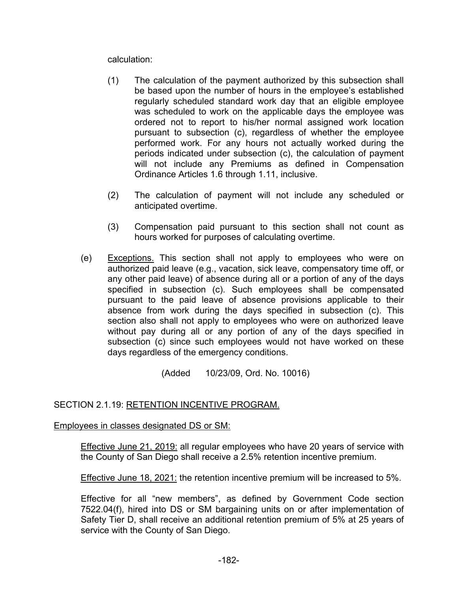calculation:

- (1) The calculation of the payment authorized by this subsection shall be based upon the number of hours in the employee's established regularly scheduled standard work day that an eligible employee was scheduled to work on the applicable days the employee was ordered not to report to his/her normal assigned work location pursuant to subsection (c), regardless of whether the employee performed work. For any hours not actually worked during the periods indicated under subsection (c), the calculation of payment will not include any Premiums as defined in Compensation Ordinance Articles 1.6 through 1.11, inclusive.
- (2) The calculation of payment will not include any scheduled or anticipated overtime.
- (3) Compensation paid pursuant to this section shall not count as hours worked for purposes of calculating overtime.
- (e) Exceptions. This section shall not apply to employees who were on authorized paid leave (e.g., vacation, sick leave, compensatory time off, or any other paid leave) of absence during all or a portion of any of the days specified in subsection (c). Such employees shall be compensated pursuant to the paid leave of absence provisions applicable to their absence from work during the days specified in subsection (c). This section also shall not apply to employees who were on authorized leave without pay during all or any portion of any of the days specified in subsection (c) since such employees would not have worked on these days regardless of the emergency conditions.

(Added 10/23/09, Ord. No. 10016)

## SECTION 2.1.19: RETENTION INCENTIVE PROGRAM.

Employees in classes designated DS or SM:

Effective June 21, 2019: all regular employees who have 20 years of service with the County of San Diego shall receive a 2.5% retention incentive premium.

Effective June 18, 2021: the retention incentive premium will be increased to 5%.

Effective for all "new members", as defined by Government Code section 7522.04(f), hired into DS or SM bargaining units on or after implementation of Safety Tier D, shall receive an additional retention premium of 5% at 25 years of service with the County of San Diego.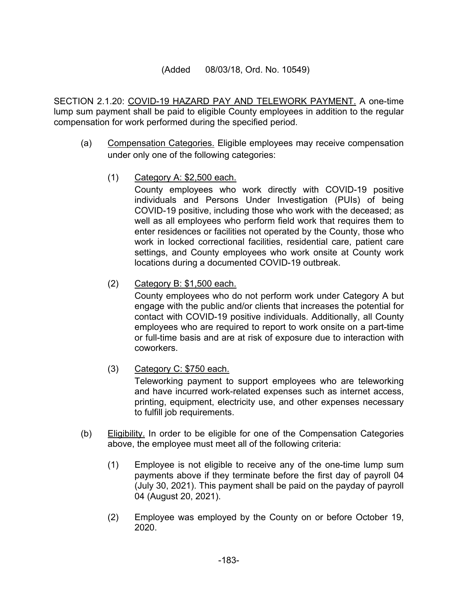### (Added 08/03/18, Ord. No. 10549)

SECTION 2.1.20: COVID-19 HAZARD PAY AND TELEWORK PAYMENT. A one-time lump sum payment shall be paid to eligible County employees in addition to the regular compensation for work performed during the specified period.

- (a) Compensation Categories. Eligible employees may receive compensation under only one of the following categories:
	- (1) Category A: \$2,500 each.

County employees who work directly with COVID-19 positive individuals and Persons Under Investigation (PUIs) of being COVID-19 positive, including those who work with the deceased; as well as all employees who perform field work that requires them to enter residences or facilities not operated by the County, those who work in locked correctional facilities, residential care, patient care settings, and County employees who work onsite at County work locations during a documented COVID-19 outbreak.

(2) Category B: \$1,500 each.

County employees who do not perform work under Category A but engage with the public and/or clients that increases the potential for contact with COVID-19 positive individuals. Additionally, all County employees who are required to report to work onsite on a part-time or full-time basis and are at risk of exposure due to interaction with coworkers.

(3) Category C: \$750 each.

Teleworking payment to support employees who are teleworking and have incurred work-related expenses such as internet access, printing, equipment, electricity use, and other expenses necessary to fulfill job requirements.

- (b) Eligibility. In order to be eligible for one of the Compensation Categories above, the employee must meet all of the following criteria:
	- (1) Employee is not eligible to receive any of the one-time lump sum payments above if they terminate before the first day of payroll 04 (July 30, 2021). This payment shall be paid on the payday of payroll 04 (August 20, 2021).
	- (2) Employee was employed by the County on or before October 19, 2020.